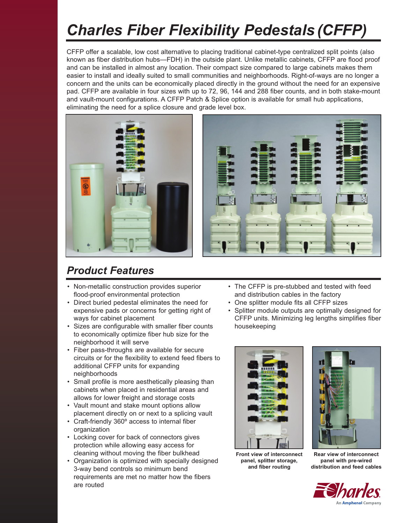# *Charles Fiber Flexibility Pedestals (CFFP)*

CFFP offer a scalable, low cost alternative to placing traditional cabinet-type centralized split points (also known as fiber distribution hubs—FDH) in the outside plant. Unlike metallic cabinets, CFFP are flood proof and can be installed in almost any location. Their compact size compared to large cabinets makes them easier to install and ideally suited to small communities and neighborhoods. Right-of-ways are no longer a concern and the units can be economically placed directly in the ground without the need for an expensive pad. CFFP are available in four sizes with up to 72, 96, 144 and 288 fiber counts, and in both stake-mount and vault-mount configurations. A CFFP Patch & Splice option is available for small hub applications, eliminating the need for a splice closure and grade level box.





## *Product Features*

- Non-metallic construction provides superior flood-proof environmental protection
- Direct buried pedestal eliminates the need for expensive pads or concerns for getting right of ways for cabinet placement
- Sizes are configurable with smaller fiber counts to economically optimize fiber hub size for the neighborhood it will serve
- Fiber pass-throughs are available for secure circuits or for the flexibility to extend feed fibers to additional CFFP units for expanding neighborhoods
- Small profile is more aesthetically pleasing than cabinets when placed in residential areas and allows for lower freight and storage costs
- Vault mount and stake mount options allow placement directly on or next to a splicing vault
- Craft-friendly 360º access to internal fiber organization
- Locking cover for back of connectors gives protection while allowing easy access for cleaning without moving the fiber bulkhead
- Organization is optimized with specially designed 3-way bend controls so minimum bend requirements are met no matter how the fibers are routed
- The CFFP is pre-stubbed and tested with feed and distribution cables in the factory
- One splitter module fits all CFFP sizes
- Splitter module outputs are optimally designed for CFFP units. Minimizing leg lengths simplifies fiber housekeeping





**Front view of interconnect panel, splitter storage, and fiber routing**

**Rear view of interconnect panel with pre-wired distribution and feed cables**

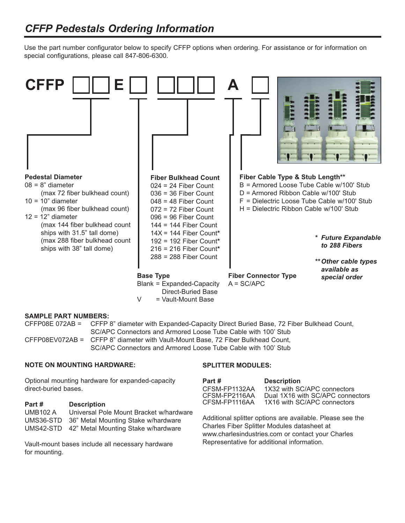Use the part number configurator below to specify CFFP options when ordering. For assistance or for information on special configurations, please call 847-806-6300.



#### **SAMPLE PART NUMBERS:**

CFFP08E 072AB = CFFP 8" diameter with Expanded-Capacity Direct Buried Base, 72 Fiber Bulkhead Count, SC/APC Connectors and Armored Loose Tube Cable with 100' Stub CFFP08EV072AB = CFFP 8" diameter with Vault-Mount Base, 72 Fiber Bulkhead Count, SC/APC Connectors and Armored Loose Tube Cable with 100' Stub

#### **NOTE ON MOUNTING HARDWARE:**

Optional mounting hardware for expanded-capacity direct-buried bases.

| Part #          | <b>Description</b>                            |
|-----------------|-----------------------------------------------|
| <b>UMB102 A</b> | Universal Pole Mount Bracket w/hardware       |
|                 | UMS36-STD 36" Metal Mounting Stake w/hardware |
|                 | UMS42-STD 42" Metal Mounting Stake w/hardware |

Vault-mount bases include all necessary hardware for mounting.

#### **SPLITTER MODULES:**

| Part #                         | <b>Description</b>                                              |
|--------------------------------|-----------------------------------------------------------------|
| CFSM-FP1132AA<br>CFSM-FP2116AA | 1X32 with SC/APC connectors<br>Dual 1X16 with SC/APC connectors |
| CFSM-FP1116AA                  | 1X16 with SC/APC connectors                                     |

Additional splitter options are available. Please see the Charles Fiber Splitter Modules datasheet at www.charlesindustries.com or contact your Charles Representative for additional information.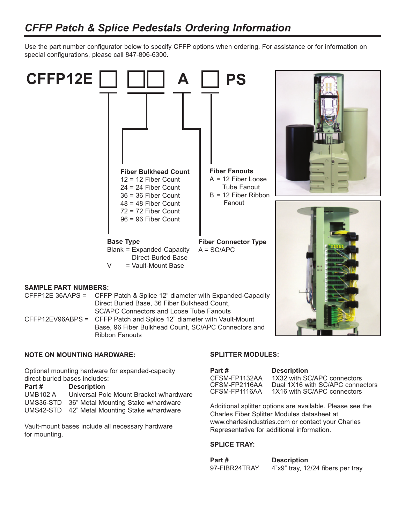### *CFFP Patch & Splice Pedestals Ordering Information*

Use the part number configurator below to specify CFFP options when ordering. For assistance or for information on special configurations, please call 847-806-6300.



CFFP12EV96ABPS = CFFP Patch and Splice 12" diameter with Vault-Mount Base, 96 Fiber Bulkhead Count, SC/APC Connectors and Ribbon Fanouts

#### **NOTE ON MOUNTING HARDWARE:**

Optional mounting hardware for expanded-capacity direct-buried bases includes:

#### **Part # Description**

UMB102 A Universal Pole Mount Bracket w/hardware UMS36-STD 36" Metal Mounting Stake w/hardware UMS42-STD 42" Metal Mounting Stake w/hardware

Vault-mount bases include all necessary hardware for mounting.

#### **SPLITTER MODULES:**

| Part #        | <b>Descr</b> |
|---------------|--------------|
| CFSM-FP1132AA | 1X32 ·       |
| CFSM-FP2116AA | Dual 1       |
| CFSM-FP1116AA | 1X16         |

**Partion** with SC/APC connectors X16 with SC/APC connectors with SC/APC connectors

Additional splitter options are available. Please see the Charles Fiber Splitter Modules datasheet at www.charlesindustries.com or contact your Charles Representative for additional information.

#### **SPLICE TRAY:**

| Part #        | <b>Description</b>                |  |  |  |
|---------------|-----------------------------------|--|--|--|
| 97-FIBR24TRAY | 4"x9" tray, 12/24 fibers per tray |  |  |  |